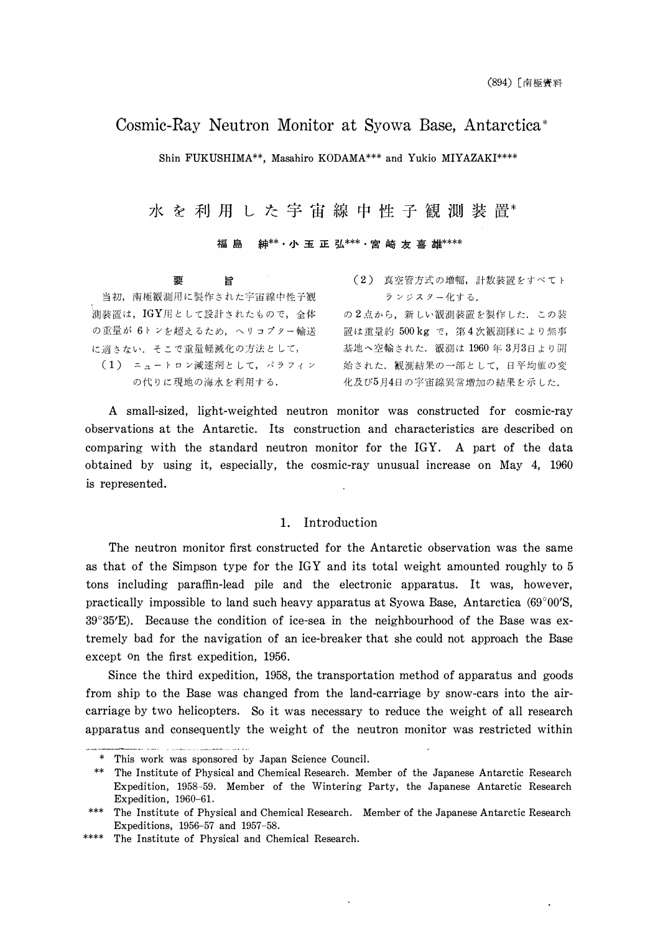# Cosmic-Ray Neutron Monitor at Syowa Base, Antarctica\*

Shin FUKUSHIMA\*\*, Masahiro KODAMA\*\*\* and Yukio MIYAZAKI\*\*\*\*

水 を 利 用 し た 宇 宙 線 中 性 子 観 測 装 置\*

紳\*\* • 小 玉 正 弘\*\*\* • 宮 崎 友 喜 雄\*\*\*\* 福島

要 旨 当初、南極観測用に製作された宇宙線中性子観 測装置は、IGY用として設計されたもので、全体 の重量が 6トンを超えるため、ヘリコプター輸送 に適さない. そこで重量軽減化の方法として, (1) ニュートロン減速剤として、パラフィン の代りに現地の海水を利用する.

(2) 真空管方式の増幅,計数装置をすべてト ランジスター化する.

の2点から、新しい観測装置を製作した. この装 置は重量約 500 kg で、第4次観測隊により無事 基地へ空輸された. 観測は 1960年3月3日より開 始された. 観測結果の一部として、日平均値の変 化及び5月4日の宇宙線異常増加の結果を示した.

A small-sized, light-weighted neutron monitor was constructed for cosmic-ray observations at the Antarctic. Its construction and characteristics are described on comparing with the standard neutron monitor for the IGY. A part of the data obtained by using it, especially, the cosmic-ray unusual increase on May 4, 1960 is represented.

### 1. Introduction

The neutron monitor first constructed for the Antarctic observation was the same as that of the Simpson type for the IGY and its total weight amounted roughly to 5 tons including paraffin-lead pile and the electronic apparatus. It was, however, practically impossible to land such heavy apparatus at Syowa Base, Antarctica  $(69°00'S,$  $39^{\circ}35'E$ ). Because the condition of ice-sea in the neighbourhood of the Base was extremely bad for the navigation of an ice-breaker that she could not approach the Base except on the first expedition, 1956.

Since the third expedition, 1958, the transportation method of apparatus and goods from ship to the Base was changed from the land-carriage by snow-cars into the aircarriage by two helicopters. So it was necessary to reduce the weight of all research apparatus and consequently the weight of the neutron monitor was restricted within

<sup>\*</sup> This work was sponsored by Japan Science Council.

 $**$ The Institute of Physical and Chemical Research. Member of the Japanese Antarctic Research Expedition, 1958-59. Member of the Wintering Party, the Japanese Antarctic Research Expedition, 1960-61.

<sup>\*\*\*</sup> The Institute of Physical and Chemical Research. Member of the Japanese Antarctic Research Expeditions, 1956-57 and 1957-58.

The Institute of Physical and Chemical Research.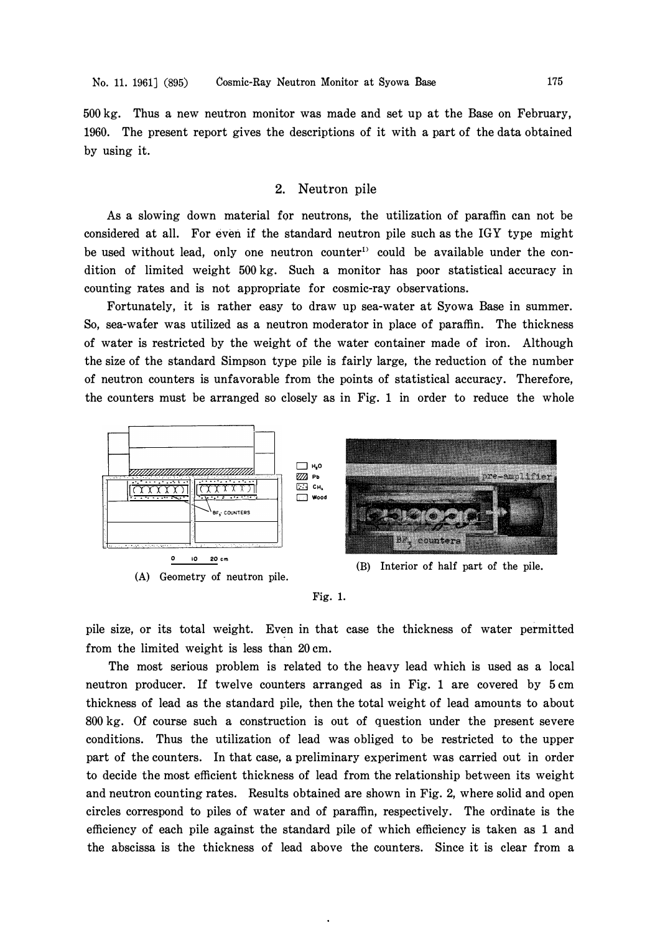500 kg. Thus a new neutron monitor was made and set up at the Base on February, 1960. The present report gives the descriptions of it with a part of the data obtained by using it.

#### 2. Neutron pile

As a slowing down material for neutrons, the utilization of paraffin can not be considered at all. For even if the standard neutron pile such as the IGY type might be used without lead, only one neutron counter<sup>11</sup> could be available under the condition of limited weight 500 kg. Such a monitor has poor statistical accuracy in counting rates and is not appropriate for cosmic-ray observations.

Fortunately, it is rather easy to draw up sea-water at Syowa Base in summer. So, sea-wafer was utilized as a neutron moderator in place of paraffin. The thickness of water is restricted by the weight of the water container made of iron. Although the size of the standard Simpson type pile is fairly large, the reduction of the number of neutron counters is unfavorable from the points of statistical accuracy. Therefore, the counters must be arranged so closely as in Fig. 1 in order to reduce the whole



**Fig. 1.** 

pile size, or its total weight. Even in that case the thickness of water permitted from the limited weight is less than 20 cm.

The most serious problem is related to the heavy lead which is used as a local neutron producer. If twelve counters arranged as in Fig. 1 are covered by 5 cm thickness of lead as the standard pile, then the total weight of lead amounts to about 800 kg. Of course such a construction is out of question under the present severe conditions. Thus the utilization of lead was obliged to be restricted to the upper part of the counters. In that case, a preliminary experiment was carried out in order to decide the most efficient thickness of lead from the relationship between its weight and neutron counting rates. Results obtained are shown in Fig. 2, where solid and open circles correspond to piles of water and of paraffin, respectively. The ordinate is the efficiency of each pile against the standard pile of which efficiency is taken as 1 and the abscissa is the thickness of lead above the counters. Since it is clear from a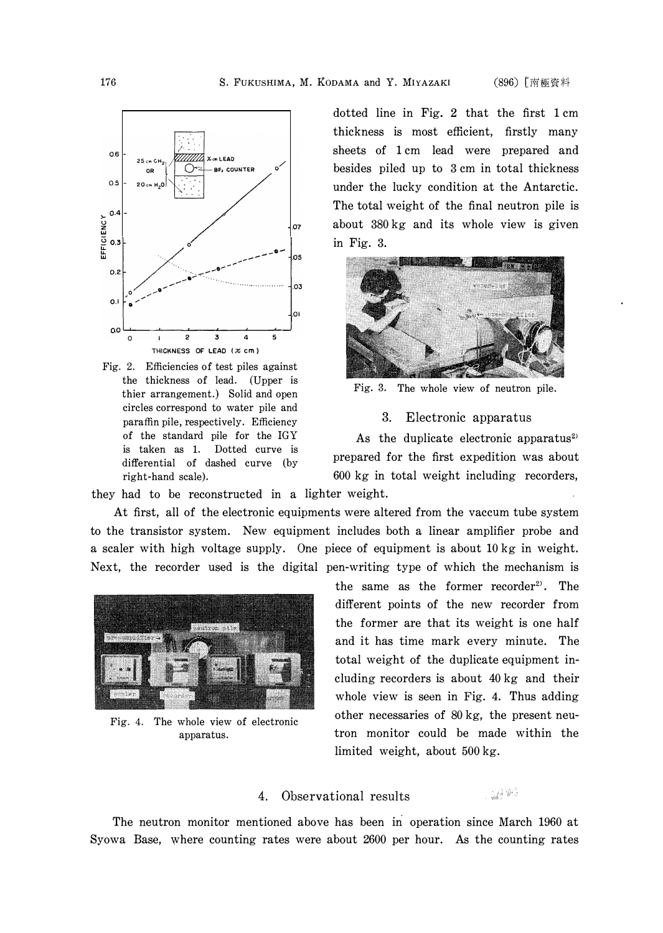

Fig. 2. Efficiencies of test piles against the thickness of lead. (Upper is thier arrangement.) Solid and open circles correspond to water pile and paraffin pile, respectively. Efficiency of the standard pile for the IGY is taken as 1. Dotted curve is differential of dashed curve (by right-hand scale).

dotted line in Fig. 2 that the first 1 cm thickness is most efficient, firstly many sheets of 1 cm lead were prepared and besides piled up to 3 cm in total thickness under the lucky condition at the Antarctic. The total weight of the final neutron pile is about 380 kg and its whole view is given in Fig.  $3$ .



Fig. 3. The whole view of neutron pile.

### 3. Electronic apparatus

As the duplicate electronic apparatus<sup>2)</sup> prepared for the first expedition was about 600 kg in total weight including recorders,

they had to be reconstructed in a lighter weight.

At first, all of the electronic equipments were altered from the vaccum tube system to the transistor system. New equipment includes both a linear amplifier probe and a scaler with high voltage supply. One piece of equipment is about 10 kg in weight. Next, the recorder used is the digital pen-writing type of which the mechanism is



Fig. 4. The whole view of electronic apparatus.

the same as the former recorder**2) .** The different points of the new recorder from the former are that its weight is one half and it has time mark every minute. The total weight of the duplicate equipment including recorders is about 40 kg and their whole view is seen in Fig. 4. Thus adding other necessaries of 80 kg, the present neutron monitor could be made within the limited weight, about 500 kg.

## 4. Observational results

교통화원

The neutron monitor mentioned above has been in operation since March 1960 at Syowa Base, where counting rates were about 2600 per hour. As the counting rates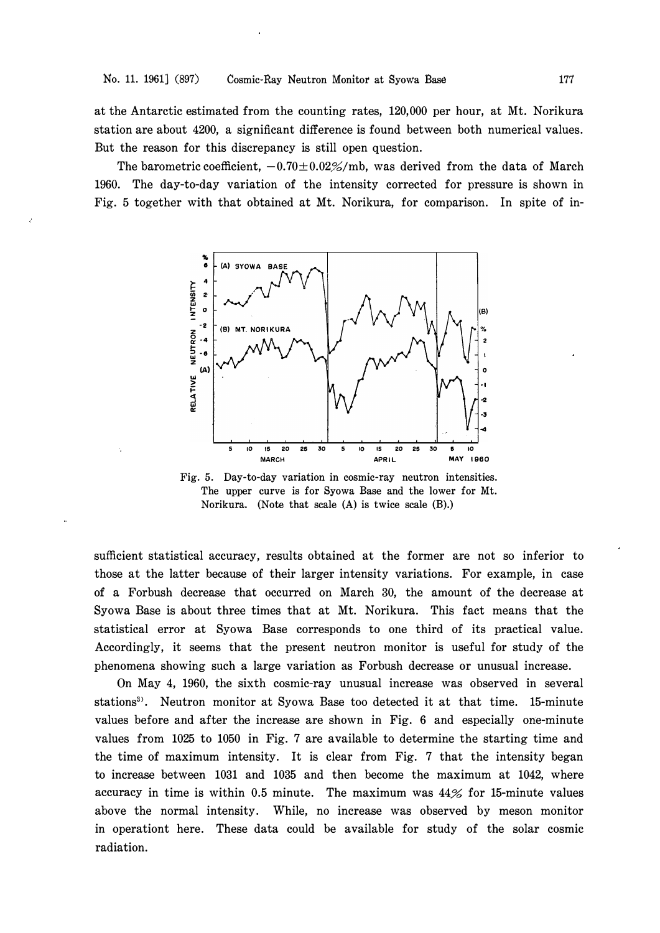at the Antarctic estimated from the counting rates, 120,000 per hour, at Mt. Norikura station are about 4200, a significant difference is found between both numerical values. But the reason for this discrepancy is still open question.

The barometric coefficient,  $-0.70\pm0.02\%/mb$  mb, was derived from the data of March 1960. The day-to-day variation of the intensity corrected for pressure is shown in Fig. 5 together with that obtained at Mt. Norikura, for comparison. In spite of in-



**Fig. 5. Day-to-day variation in cosmic-ray neutron intensities. The upper curve is for Syowa Base and the lower for Mt. Norikura. (Note that scale (A) is twice scale (B).)** 

sufficient statistical accuracy, results obtained at the former are not so inferior to those at the latter because of their larger intensity variations. For example, in case of a Forbush decrease that occurred on March 30, the amount of the decrease at Syowa Base is about three times that at Mt. Norikura. This fact means that the statistical error at Syowa Base corresponds to one third of its practical value. Accordingly, it seems that the present neutron monitor is useful for study of the phenomena showing such a large variation as Forbush decrease or unusual increase.

On May 4, 1960, the sixth cosmic-ray unusual increase was observed in several stations**3) .** Neutron monitor at Syowa Base too detected it at that time. 15-minute values before and after the increase are shown in Fig. 6 and especially one-minute values from 1025 to 1050 in Fig. 7 are available to determine the starting time and the time of maximum intensity. It is clear from Fig. 7 that the intensity began to increase between 1031 and 1035 and then become the maximum at 1042, where accuracy in time is within 0.5 minute. The maximum was 44% for 15-minute values above the normal intensity. While, no increase was observed by meson monitor in operationt here. These data could be available for study of the solar cosmic radiation.